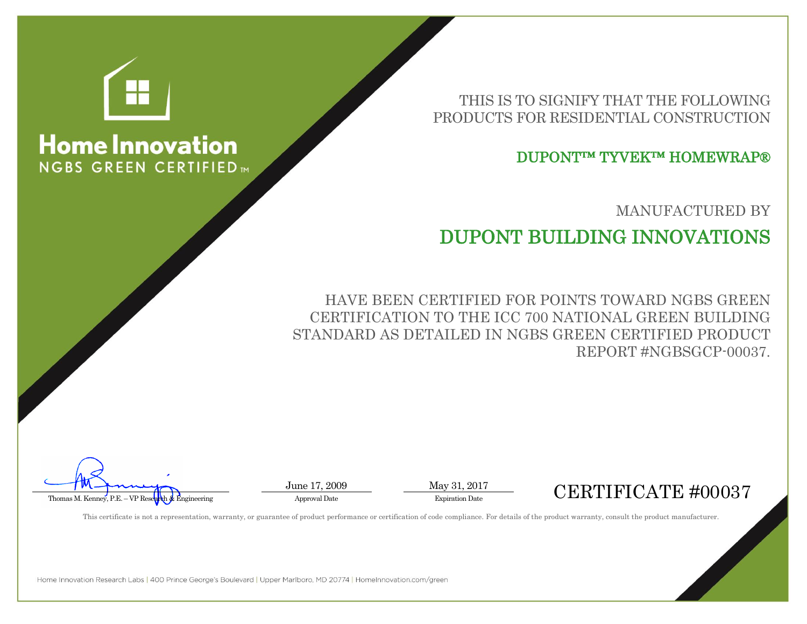

## **Home Innovation NGBS GREEN CERTIFIED**

THIS IS TO SIGNIFY THAT THE FOLLOWING PRODUCTS FOR RESIDENTIAL CONSTRUCTION

DUPONT™ TYVEK™ HOMEWRAP®

MANUFACTURED BY

## DUPONT BUILDING INNOVATIONS

HAVE BEEN CERTIFIED FOR POINTS TOWARD NGBS GREEN CERTIFICATION TO THE ICC 700 NATIONAL GREEN BUILDING STANDARD AS DETAILED IN NGBS GREEN CERTIFIED PRODUCT REPORT #NGBSGCP-00037.

 $\overbrace{\text{Thomas M. Kenney. P.E. - VP Reselmh & Engineering}}^{\text{J. W. } \text{Aepirinering}}$  Approval Date Approval Date Expiration Date Expiration Date Expiration Date Expiration Date Expiration Date Expiration Date Expiration Date Expiration Date Expiration Date Exp

This certificate is not a representation, warranty, or guarantee of product performance or certification of code compliance. For details of the product warranty, consult the product manufacturer.

June 17, 2009 May 31, 2017

Home Innovation Research Labs | 400 Prince George's Boulevard | Upper Marlboro, MD 20774 | HomeInnovation.com/green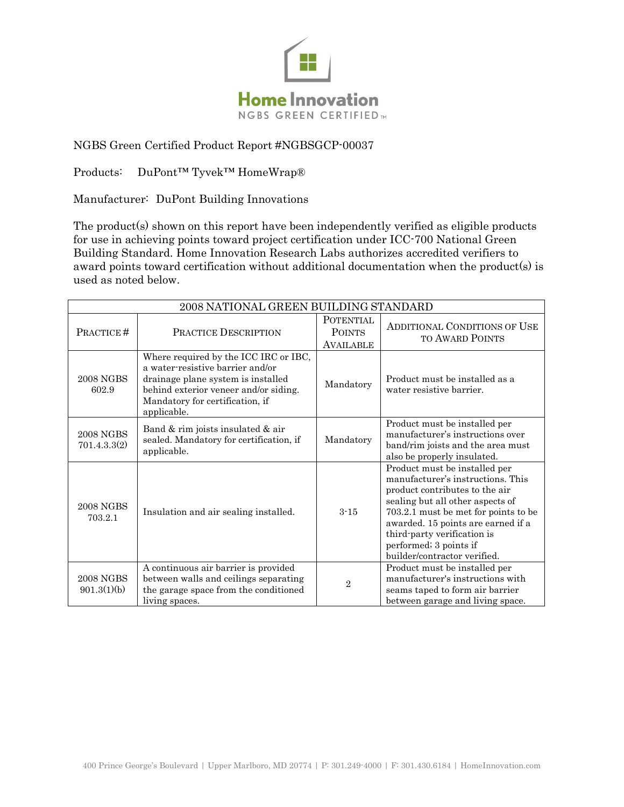

## NGBS Green Certified Product Report #NGBSGCP-00037

Products: DuPont™ Tyvek™ HomeWrap®

Manufacturer: DuPont Building Innovations

The product(s) shown on this report have been independently verified as eligible products for use in achieving points toward project certification under ICC-700 National Green Building Standard. Home Innovation Research Labs authorizes accredited verifiers to award points toward certification without additional documentation when the product(s) is used as noted below.

| 2008 NATIONAL GREEN BUILDING STANDARD |                                                                                                                                                                                                            |                                                       |                                                                                                                                                                                                                                                                                                                 |  |
|---------------------------------------|------------------------------------------------------------------------------------------------------------------------------------------------------------------------------------------------------------|-------------------------------------------------------|-----------------------------------------------------------------------------------------------------------------------------------------------------------------------------------------------------------------------------------------------------------------------------------------------------------------|--|
| PRACTICE#                             | PRACTICE DESCRIPTION                                                                                                                                                                                       | <b>POTENTIAL</b><br><b>POINTS</b><br><b>AVAILABLE</b> | <b>ADDITIONAL CONDITIONS OF USE</b><br>TO AWARD POINTS                                                                                                                                                                                                                                                          |  |
| <b>2008 NGBS</b><br>602.9             | Where required by the ICC IRC or IBC,<br>a water-resistive barrier and/or<br>drainage plane system is installed<br>behind exterior veneer and/or siding.<br>Mandatory for certification, if<br>applicable. | Mandatory                                             | Product must be installed as a<br>water resistive barrier.                                                                                                                                                                                                                                                      |  |
| <b>2008 NGBS</b><br>701.4.3.3(2)      | Band & rim joists insulated & air<br>sealed. Mandatory for certification, if<br>applicable.                                                                                                                | Mandatory                                             | Product must be installed per<br>manufacturer's instructions over<br>band/rim joists and the area must<br>also be properly insulated.                                                                                                                                                                           |  |
| <b>2008 NGBS</b><br>703.2.1           | Insulation and air sealing installed.                                                                                                                                                                      | $3 - 15$                                              | Product must be installed per<br>manufacturer's instructions. This<br>product contributes to the air<br>sealing but all other aspects of<br>703.2.1 must be met for points to be<br>awarded. 15 points are earned if a<br>third-party verification is<br>performed; 3 points if<br>builder/contractor verified. |  |
| <b>2008 NGBS</b><br>901.3(1)(b)       | A continuous air barrier is provided<br>between walls and ceilings separating<br>the garage space from the conditioned<br>living spaces.                                                                   | $\overline{2}$                                        | Product must be installed per<br>manufacturer's instructions with<br>seams taped to form air barrier<br>between garage and living space.                                                                                                                                                                        |  |